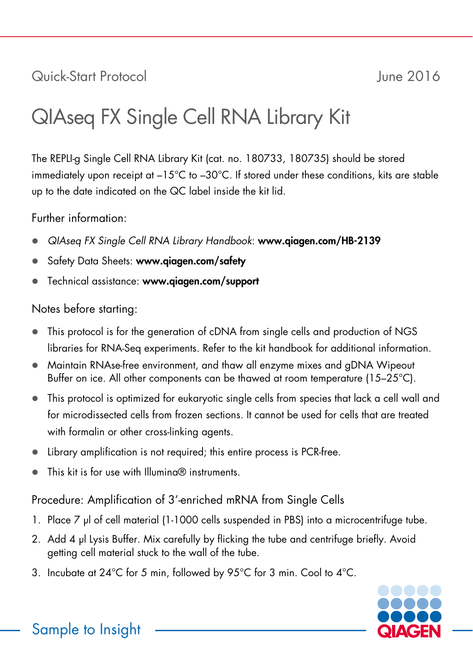# Quick-Start Protocol June 2016

# QIAseq FX Single Cell RNA Library Kit

The REPLI-g Single Cell RNA Library Kit (cat. no. 180733, 180735) should be stored immediately upon receipt at –15°C to –30°C. If stored under these conditions, kits are stable up to the date indicated on the QC label inside the kit lid.

Further information:

- *QIAseq FX Single Cell RNA Library Handbook*: www.qiagen.com/HB-2139
- Safety Data Sheets: www.qiagen.com/safety
- Technical assistance: www.qiagen.com/support

# Notes before starting:

- This protocol is for the generation of cDNA from single cells and production of NGS libraries for RNA-Seq experiments. Refer to the kit handbook for additional information.
- Maintain RNAse-free environment, and thaw all enzyme mixes and gDNA Wipeout Buffer on ice. All other components can be thawed at room temperature (15–25°C).
- This protocol is optimized for eukaryotic single cells from species that lack a cell wall and for microdissected cells from frozen sections. It cannot be used for cells that are treated with formalin or other cross-linking agents.
- Library amplification is not required; this entire process is PCR-free.
- This kit is for use with Illumina® instruments.

Procedure: Amplification of 3'-enriched mRNA from Single Cells

- 1. Place 7 µl of cell material (1-1000 cells suspended in PBS) into a microcentrifuge tube.
- 2. Add 4 µl Lysis Buffer. Mix carefully by flicking the tube and centrifuge briefly. Avoid getting cell material stuck to the wall of the tube.
- 3. Incubate at 24°C for 5 min, followed by 95°C for 3 min. Cool to 4°C.



Sample to Insight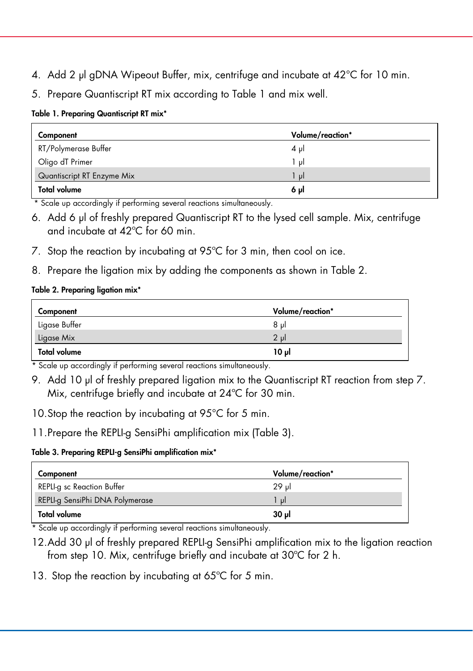- 4. Add 2 µl gDNA Wipeout Buffer, mix, centrifuge and incubate at 42°C for 10 min.
- 5. Prepare Quantiscript RT mix according to Table 1 and mix well.

#### Table 1. Preparing Quantiscript RT mix\*

| Component                  | Volume/reaction* |
|----------------------------|------------------|
| RT/Polymerase Buffer       | $4 \mu$          |
| Oligo dT Primer            | ار 1             |
| Quantiscript RT Enzyme Mix | $\mathbf{u}$     |
| <b>Total volume</b>        | 6 pl             |

\* Scale up accordingly if performing several reactions simultaneously.

- 6. Add 6 µl of freshly prepared Quantiscript RT to the lysed cell sample. Mix, centrifuge and incubate at 42ºC for 60 min.
- 7. Stop the reaction by incubating at 95°C for 3 min, then cool on ice.
- 8. Prepare the ligation mix by adding the components as shown in Table 2.

#### Table 2. Preparing ligation mix\*

| Component           | Volume/reaction* |
|---------------------|------------------|
| Ligase Buffer       | 8 ul             |
| Ligase Mix          | 2 ul             |
| <b>Total volume</b> | ار 10            |

\* Scale up accordingly if performing several reactions simultaneously.

- 9. Add 10 µl of freshly prepared ligation mix to the Quantiscript RT reaction from step 7. Mix, centrifuge briefly and incubate at 24ºC for 30 min.
- 10.Stop the reaction by incubating at 95°C for 5 min.
- 11.Prepare the REPLI-g SensiPhi amplification mix (Table 3).

#### Table 3. Preparing REPLI-g SensiPhi amplification mix\*

| Component                       | Volume/reaction* |
|---------------------------------|------------------|
| REPLI-g sc Reaction Buffer      | 29 ul            |
| REPLI-g SensiPhi DNA Polymerase | - ul             |
| <b>Total volume</b>             | 30 ul            |

\* Scale up accordingly if performing several reactions simultaneously.

- 12.Add 30 µl of freshly prepared REPLI-g SensiPhi amplification mix to the ligation reaction from step 10. Mix, centrifuge briefly and incubate at 30ºC for 2 h.
- 13. Stop the reaction by incubating at 65°C for 5 min.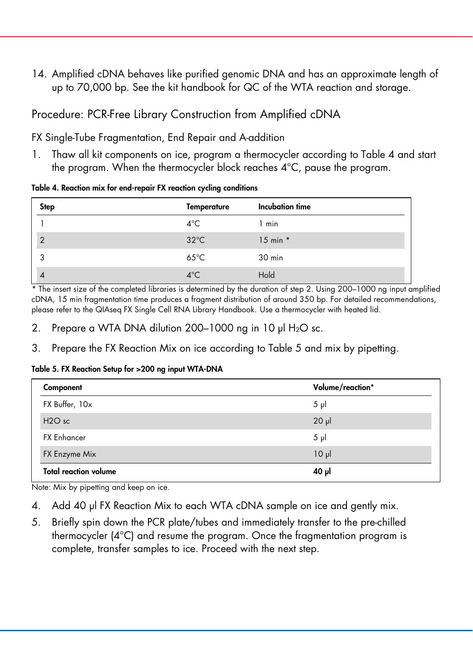14. Amplified cDNA behaves like purified genomic DNA and has an approximate length of up to 70,000 bp. See the kit handbook for QC of the WTA reaction and storage.

## Procedure: PCR-Free Library Construction from Amplified cDNA

FX Single-Tube Fragmentation, End Repair and A-addition

1. Thaw all kit components on ice, program a thermocycler according to Table 4 and start the program. When the thermocycler block reaches 4°C, pause the program.

Table 4. Reaction mix for end-repair FX reaction cycling conditions

| <b>Step</b>    | <b>Temperature</b> | Incubation time |
|----------------|--------------------|-----------------|
|                | $4^{\circ}$ C      | 1 min           |
| $\overline{2}$ | $32^{\circ}$ C     | $15$ min $*$    |
| 3              | $65^{\circ}$ C     | 30 min          |
| 4              | $4^{\circ}$ C      | Hold            |

\* The insert size of the completed libraries is determined by the duration of step 2. Using 200–1000 ng input amplified cDNA, 15 min fragmentation time produces a fragment distribution of around 350 bp. For detailed recommendations, please refer to the QIAseq FX Single Cell RNA Library Handbook. Use a thermocycler with heated lid.

- 2. Prepare a WTA DNA dilution 200-1000 ng in 10 µl H<sub>2</sub>O sc.
- 3. Prepare the FX Reaction Mix on ice according to Table 5 and mix by pipetting.

Table 5. FX Reaction Setup for >200 ng input WTA-DNA

| Component                      | Volume/reaction* |
|--------------------------------|------------------|
| FX Buffer, 10x                 | $5 \mu$          |
| H <sub>2</sub> O <sub>sc</sub> | $20 \mu$         |
| <b>FX Enhancer</b>             | $5 \mu$          |
| FX Enzyme Mix                  | $10 \mu$         |
| <b>Total reaction volume</b>   | 40 µl            |

Note: Mix by pipetting and keep on ice.

- 4. Add 40 µl FX Reaction Mix to each WTA cDNA sample on ice and gently mix.
- 5. Briefly spin down the PCR plate/tubes and immediately transfer to the pre-chilled thermocycler (4°C) and resume the program. Once the fragmentation program is complete, transfer samples to ice. Proceed with the next step.